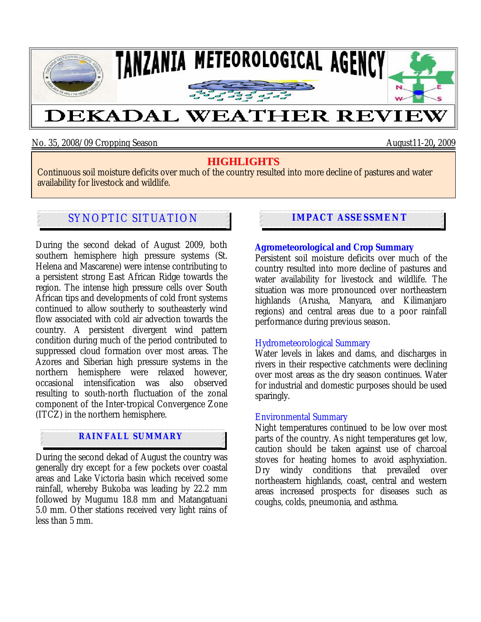

No. 35, 2008/09 Cropping Season August11-20**,** 2009

# **HIGHLIGHTS**

Continuous soil moisture deficits over much of the country resulted into more decline of pastures and water availability for livestock and wildlife.

# SYNOPTIC SITUATION **IMPACT ASSESSMENT**

During the second dekad of August 2009, both southern hemisphere high pressure systems (St. Helena and Mascarene) were intense contributing to a persistent strong East African Ridge towards the region. The intense high pressure cells over South African tips and developments of cold front systems continued to allow southerly to southeasterly wind flow associated with cold air advection towards the country. A persistent divergent wind pattern condition during much of the period contributed to suppressed cloud formation over most areas. The Azores and Siberian high pressure systems in the northern hemisphere were relaxed however, occasional intensification was also observed resulting to south-north fluctuation of the zonal component of the Inter-tropical Convergence Zone (ITCZ) in the northern hemisphere.

## **RAINFALL SUMMARY**

During the second dekad of August the country was generally dry except for a few pockets over coastal areas and Lake Victoria basin which received some rainfall, whereby Bukoba was leading by 22.2 mm followed by Mugumu 18.8 mm and Matangatuani 5.0 mm. Other stations received very light rains of less than 5 mm.

### **Agrometeorological and Crop Summary**

Persistent soil moisture deficits over much of the country resulted into more decline of pastures and water availability for livestock and wildlife. The situation was more pronounced over northeastern highlands (Arusha, Manyara, and Kilimanjaro regions) and central areas due to a poor rainfall performance during previous season.

### Hydrometeorological Summary

Water levels in lakes and dams, and discharges in rivers in their respective catchments were declining over most areas as the dry season continues. Water for industrial and domestic purposes should be used sparingly.

### Environmental Summary

Night temperatures continued to be low over most parts of the country. As night temperatures get low, caution should be taken against use of charcoal stoves for heating homes to avoid asphyxiation. Dry windy conditions that prevailed over northeastern highlands, coast, central and western areas increased prospects for diseases such as coughs, colds, pneumonia, and asthma.